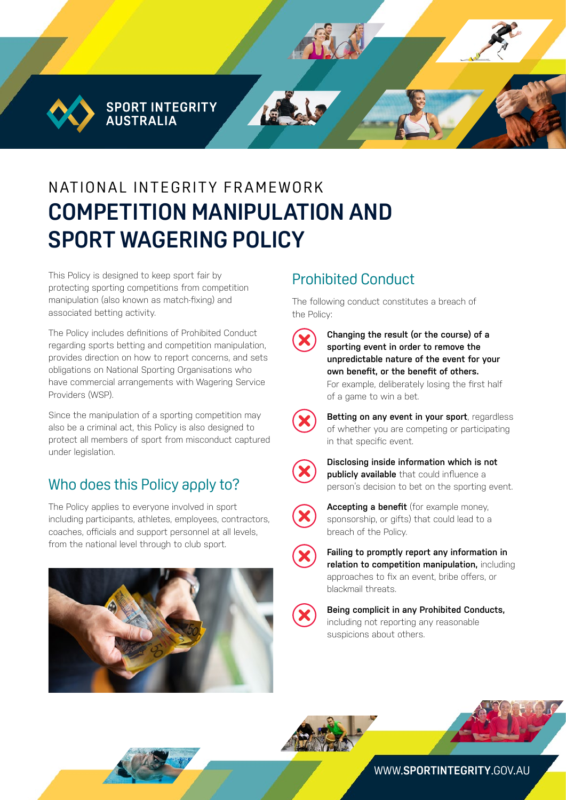**SPORT INTEGRITY AUSTRALIA** 

# NATIONAL INTEGRITY FRAMEWORK **COMPETITION MANIPULATION AND SPORT WAGERING POLICY**

This Policy is designed to keep sport fair by protecting sporting competitions from competition manipulation (also known as match-fixing) and associated betting activity.

The Policy includes definitions of Prohibited Conduct regarding sports betting and competition manipulation, provides direction on how to report concerns, and sets obligations on National Sporting Organisations who have commercial arrangements with Wagering Service Providers (WSP).

Since the manipulation of a sporting competition may also be a criminal act, this Policy is also designed to protect all members of sport from misconduct captured under legislation.

### Who does this Policy apply to?

The Policy applies to everyone involved in sport including participants, athletes, employees, contractors, coaches, officials and support personnel at all levels, from the national level through to club sport.



## Prohibited Conduct

The following conduct constitutes a breach of the Policy:

**Changing the result (or the course) of a sporting event in order to remove the unpredictable nature of the event for your own benefit, or the benefit of others.** For example, deliberately losing the first half of a game to win a bet.



**Betting on any event in your sport**, regardless of whether you are competing or participating in that specific event.



**Disclosing inside information which is not publicly available** that could influence a person's decision to bet on the sporting event.



**Accepting a benefit** (for example money, sponsorship, or gifts) that could lead to a breach of the Policy.



**Failing to promptly report any information in relation to competition manipulation,** including approaches to fix an event, bribe offers, or blackmail threats.

**Being complicit in any Prohibited Conducts,**  including not reporting any reasonable suspicions about others.





WWW.**[SPORTINTEGRITY](http://www.sportintegrity.gov.au)**.GOV.AU